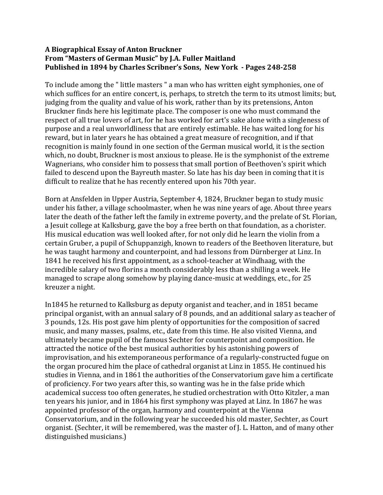## **A Biographical Essay of Anton Bruckner From "Masters of German Music" by J.A. Fuller Maitland Published in 1894 by Charles Scribner's Sons, New York - Pages 248-258**

To include among the " little masters " a man who has written eight symphonies, one of which suffices for an entire concert, is, perhaps, to stretch the term to its utmost limits; but, judging from the quality and value of his work, rather than by its pretensions, Anton Bruckner finds here his legitimate place. The composer is one who must command the respect of all true lovers of art, for he has worked for art's sake alone with a singleness of purpose and a real unworldliness that are entirely estimable. He has waited long for his reward, but in later years he has obtained a great measure of recognition, and if that recognition is mainly found in one section of the German musical world, it is the section which, no doubt, Bruckner is most anxious to please. He is the symphonist of the extreme Wagnerians, who consider him to possess that small portion of Beethoven's spirit which failed to descend upon the Bayreuth master. So late has his day been in coming that it is difficult to realize that he has recently entered upon his 70th year.

Born at Ansfelden in Upper Austria, September 4, 1824, Bruckner began to study music under his father, a village schoolmaster, when he was nine years of age. About three years later the death of the father left the family in extreme poverty, and the prelate of St. Florian, a Jesuit college at Kalksburg, gave the boy a free berth on that foundation, as a chorister. His musical education was well looked after, for not only did he learn the violin from a certain Gruber, a pupil of Schuppanzigh, known to readers of the Beethoven literature, but he was taught harmony and counterpoint, and had lessons from Dürnberger at Linz. In 1841 he received his first appointment, as a school-teacher at Windhaag, with the incredible salary of two florins a month considerably less than a shilling a week. He managed to scrape along somehow by playing dance-music at weddings, etc., for 25 kreuzer a night.

In1845 he returned to Kalksburg as deputy organist and teacher, and in 1851 became principal organist, with an annual salary of 8 pounds, and an additional salary as teacher of 3 pounds, 12s. His post gave him plenty of opportunities for the composition of sacred music, and many masses, psalms, etc., date from this time. He also visited Vienna, and ultimately became pupil of the famous Sechter for counterpoint and composition. He attracted the notice of the best musical authorities by his astonishing powers of improvisation, and his extemporaneous performance of a regularly-constructed fugue on the organ procured him the place of cathedral organist at Linz in 1855. He continued his studies in Vienna, and in 1861 the authorities of the Conservatorium gave him a certificate of proficiency. For two years after this, so wanting was he in the false pride which academical success too often generates, he studied orchestration with Otto Kitzler, a man ten years his junior, and in 1864 his first symphony was played at Linz. In 1867 he was appointed professor of the organ, harmony and counterpoint at the Vienna Conservatorium, and in the following year he succeeded his old master, Sechter, as Court organist. (Sechter, it will be remembered, was the master of J. L. Hatton, and of many other distinguished musicians.)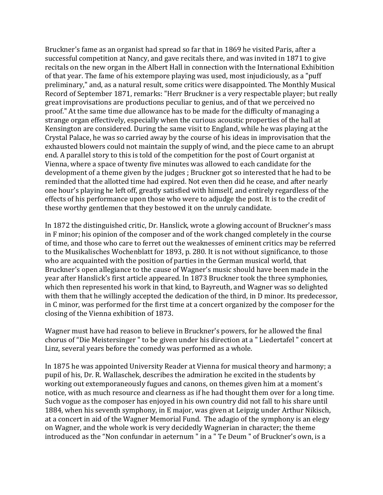Bruckner's fame as an organist had spread so far that in 1869 he visited Paris, after a successful competition at Nancy, and gave recitals there, and was invited in 1871 to give recitals on the new organ in the Albert Hall in connection with the International Exhibition of that year. The fame of his extempore playing was used, most injudiciously, as a "puff preliminary," and, as a natural result, some critics were disappointed. The Monthly Musical Record of September 1871, remarks: "Herr Bruckner is a very respectable player; but really great improvisations are productions peculiar to genius, and of that we perceived no proof." At the same time due allowance has to be made for the difficulty of managing a strange organ effectively, especially when the curious acoustic properties of the hall at Kensington are considered. During the same visit to England, while he was playing at the Crystal Palace, he was so carried away by the course of his ideas in improvisation that the exhausted blowers could not maintain the supply of wind, and the piece came to an abrupt end. A parallel story to this is told of the competition for the post of Court organist at Vienna, where a space of twenty five minutes was allowed to each candidate for the development of a theme given by the judges ; Bruckner got so interested that he had to be reminded that the allotted time had expired. Not even then did he cease, and after nearly one hour's playing he left off, greatly satisfied with himself, and entirely regardless of the effects of his performance upon those who were to adjudge the post. It is to the credit of these worthy gentlemen that they bestowed it on the unruly candidate.

In 1872 the distinguished critic, Dr. Hanslick, wrote a glowing account of Bruckner's mass in F minor; his opinion of the composer and of the work changed completely in the course of time, and those who care to ferret out the weaknesses of eminent critics may be referred to the Musikalisches Wochenblatt for 1893, p. 280. It is not without significance, to those who are acquainted with the position of parties in the German musical world, that Bruckner's open allegiance to the cause of Wagner's music should have been made in the year after Hanslick's first article appeared. In 1873 Bruckner took the three symphonies, which then represented his work in that kind, to Bayreuth, and Wagner was so delighted with them that he willingly accepted the dedication of the third, in D minor. Its predecessor, in C minor, was performed for the first time at a concert organized by the composer for the closing of the Vienna exhibition of 1873.

Wagner must have had reason to believe in Bruckner's powers, for he allowed the final chorus of "Die Meistersinger " to be given under his direction at a " Liedertafel " concert at Linz, several years before the comedy was performed as a whole.

In 1875 he was appointed University Reader at Vienna for musical theory and harmony; a pupil of his, Dr. R. Wallaschek, describes the admiration he excited in the students by working out extemporaneously fugues and canons, on themes given him at a moment's notice, with as much resource and clearness as if he had thought them over for a long time. Such vogue as the composer has enjoyed in his own country did not fall to his share until 1884, when his seventh symphony, in E major, was given at Leipzig under Arthur Nikisch, at a concert in aid of the Wagner Memorial Fund. The adagio of the symphony is an elegy on Wagner, and the whole work is very decidedly Wagnerian in character; the theme introduced as the "Non confundar in aeternum " in a " Te Deum " of Bruckner's own, is a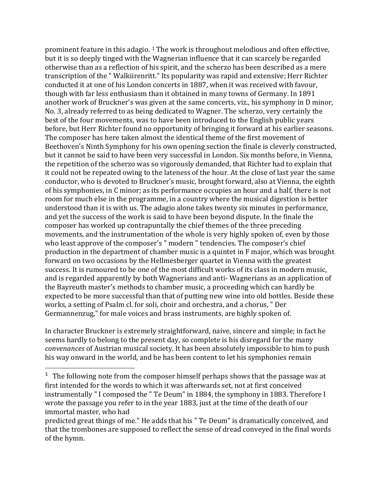prominent feature in this adagio. <sup>[1](#page-2-0)</sup> The work is throughout melodious and often effective, The composer has here taken almost the identical theme of the first movement of Beethoven's Ninth Symphony for his own opening section the finale is cleverly constructed, but it cannot be said to have been very successful in London. Six months before, in Vienna, the repetition of the scherzo was so vigorously demanded, that Richter had to explain that it could not be repeated owing to the lateness of the hour. At the close of last year the same conductor, who is devoted to Bruckner's music, brought forward, also at Vienna, the eighth of his symphonies, in C minor; as its performance occupies an hour and a half, there is not room for much else in the programme, in a country where the musical digestion is better understood than it is with us. The adagio alone takes twenty six minutes in performance, and yet the success of the work is said to have been beyond dispute. In the finale the composer has worked up contrapuntally the chief themes of the three preceding movements, and the instrumentation of the whole is very highly spoken of, even by those who least approve of the composer's " modern " tendencies. The composer's chief production in the department of chamber music is a quintet in F major, which was brought forward on two occasions by the Hellmesberger quartet in Vienna with the greatest success. It is rumoured to be one of the most difficult works of its class in modern music, and is regarded apparently by both Wagnerians and anti- Wagnerians as an application of the Bayreuth master's methods to chamber music, a proceeding which can hardly be expected to be more successful than that of putting new wine into old bottles. Beside these works, a setting of Psalm cl. for soli, choir and orchestra, and a chorus, " Der Germannenzug," for male voices and brass instruments, are highly spoken of. but it is so deeply tinged with the Wagnerian influence that it can scarcely be regarded otherwise than as a reflection of his spirit, and the scherzo has been described as a mere transcription of the " Walkiirenritt." Its popularity was rapid and extensive; Herr Richter conducted it at one of his London concerts in 1887, when it was received with favour, though with far less enthusiasm than it obtained in many towns of Germany. In 1891 another work of Bruckner's was given at the same concerts, viz., his symphony in D minor, No. 3, already referred to as being dedicated to Wagner. The scherzo, very certainly the best of the four movements, was to have been introduced to the English public years before, but Herr Richter found no opportunity of bringing it forward at his earlier seasons.

In character Bruckner is extremely straightforward, naive, sincere and simple; in fact he seems hardly to belong to the present day, so complete is his disregard for the many *convenances* of Austrian musical society. It has been absolutely impossible to him to push his way onward in the world, and he has been content to let his symphonies remain

 $\overline{\phantom{a}}$ 

<span id="page-2-0"></span> $1$  The following note from the composer himself perhaps shows that the passage was at first intended for the words to which it was afterwards set, not at first conceived instrumentally " I composed the " Te Deum" in 1884, the symphony in 1883. Therefore I wrote the passage you refer to in the year 1883, just at the time of the death of our immortal master, who had

predicted great things of me." He adds that his " Te Deum" is dramatically conceived, and that the trombones are supposed to reflect the sense of dread conveyed in the final words of the hymn.